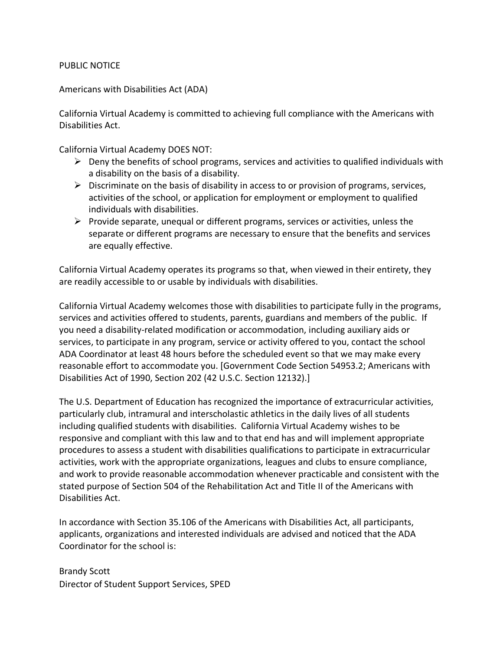## PUBLIC NOTICE

## Americans with Disabilities Act (ADA)

California Virtual Academy is committed to achieving full compliance with the Americans with Disabilities Act.

California Virtual Academy DOES NOT:

- $\triangleright$  Deny the benefits of school programs, services and activities to qualified individuals with a disability on the basis of a disability.
- $\triangleright$  Discriminate on the basis of disability in access to or provision of programs, services, activities of the school, or application for employment or employment to qualified individuals with disabilities.
- $\triangleright$  Provide separate, unequal or different programs, services or activities, unless the separate or different programs are necessary to ensure that the benefits and services are equally effective.

California Virtual Academy operates its programs so that, when viewed in their entirety, they are readily accessible to or usable by individuals with disabilities.

California Virtual Academy welcomes those with disabilities to participate fully in the programs, services and activities offered to students, parents, guardians and members of the public. If you need a disability-related modification or accommodation, including auxiliary aids or services, to participate in any program, service or activity offered to you, contact the school ADA Coordinator at least 48 hours before the scheduled event so that we may make every reasonable effort to accommodate you. [Government Code Section 54953.2; Americans with Disabilities Act of 1990, Section 202 (42 U.S.C. Section 12132).]

The U.S. Department of Education has recognized the importance of extracurricular activities, particularly club, intramural and interscholastic athletics in the daily lives of all students including qualified students with disabilities. California Virtual Academy wishes to be responsive and compliant with this law and to that end has and will implement appropriate procedures to assess a student with disabilities qualifications to participate in extracurricular activities, work with the appropriate organizations, leagues and clubs to ensure compliance, and work to provide reasonable accommodation whenever practicable and consistent with the stated purpose of Section 504 of the Rehabilitation Act and Title II of the Americans with Disabilities Act.

In accordance with Section 35.106 of the Americans with Disabilities Act, all participants, applicants, organizations and interested individuals are advised and noticed that the ADA Coordinator for the school is:

Brandy Scott Director of Student Support Services, SPED